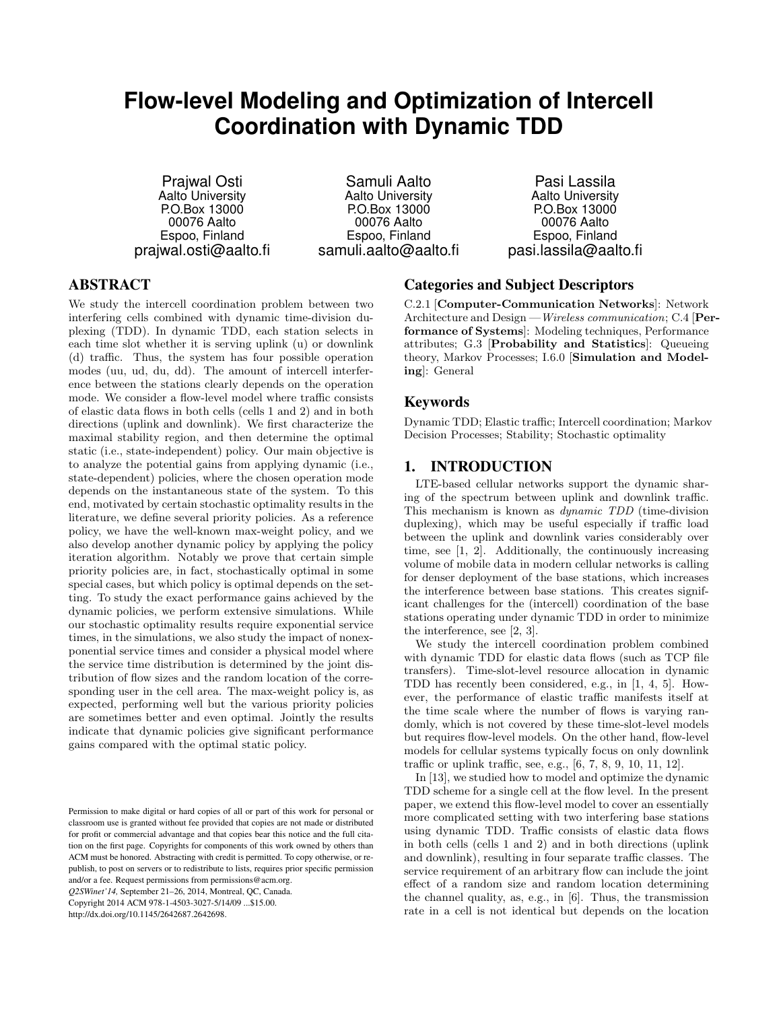# **Flow-level Modeling and Optimization of Intercell Coordination with Dynamic TDD**

Prajwal Osti Aalto University P.O.Box 13000 00076 Aalto Espoo, Finland prajwal.osti@aalto.fi

Samuli Aalto Aalto University P.O.Box 13000 00076 Aalto Espoo, Finland samuli.aalto@aalto.fi

Pasi Lassila Aalto University P.O.Box 13000 00076 Aalto Espoo, Finland pasi.lassila@aalto.fi

# ABSTRACT

We study the intercell coordination problem between two interfering cells combined with dynamic time-division duplexing (TDD). In dynamic TDD, each station selects in each time slot whether it is serving uplink (u) or downlink (d) traffic. Thus, the system has four possible operation modes (uu, ud, du, dd). The amount of intercell interference between the stations clearly depends on the operation mode. We consider a flow-level model where traffic consists of elastic data flows in both cells (cells 1 and 2) and in both directions (uplink and downlink). We first characterize the maximal stability region, and then determine the optimal static (i.e., state-independent) policy. Our main objective is to analyze the potential gains from applying dynamic (i.e., state-dependent) policies, where the chosen operation mode depends on the instantaneous state of the system. To this end, motivated by certain stochastic optimality results in the literature, we define several priority policies. As a reference policy, we have the well-known max-weight policy, and we also develop another dynamic policy by applying the policy iteration algorithm. Notably we prove that certain simple priority policies are, in fact, stochastically optimal in some special cases, but which policy is optimal depends on the setting. To study the exact performance gains achieved by the dynamic policies, we perform extensive simulations. While our stochastic optimality results require exponential service times, in the simulations, we also study the impact of nonexponential service times and consider a physical model where the service time distribution is determined by the joint distribution of flow sizes and the random location of the corresponding user in the cell area. The max-weight policy is, as expected, performing well but the various priority policies are sometimes better and even optimal. Jointly the results indicate that dynamic policies give significant performance gains compared with the optimal static policy.

*Q2SWinet'14,* September 21–26, 2014, Montreal, QC, Canada. Copyright 2014 ACM 978-1-4503-3027-5/14/09 ...\$15.00. http://dx.doi.org/10.1145/2642687.2642698.

## Categories and Subject Descriptors

C.2.1 [Computer-Communication Networks]: Network Architecture and Design —Wireless communication; C.4 [Performance of Systems]: Modeling techniques, Performance attributes; G.3 [Probability and Statistics]: Queueing theory, Markov Processes; I.6.0 [Simulation and Modeling]: General

#### Keywords

Dynamic TDD; Elastic traffic; Intercell coordination; Markov Decision Processes; Stability; Stochastic optimality

## 1. INTRODUCTION

LTE-based cellular networks support the dynamic sharing of the spectrum between uplink and downlink traffic. This mechanism is known as dynamic TDD (time-division duplexing), which may be useful especially if traffic load between the uplink and downlink varies considerably over time, see [1, 2]. Additionally, the continuously increasing volume of mobile data in modern cellular networks is calling for denser deployment of the base stations, which increases the interference between base stations. This creates significant challenges for the (intercell) coordination of the base stations operating under dynamic TDD in order to minimize the interference, see [2, 3].

We study the intercell coordination problem combined with dynamic TDD for elastic data flows (such as TCP file transfers). Time-slot-level resource allocation in dynamic TDD has recently been considered, e.g., in [1, 4, 5]. However, the performance of elastic traffic manifests itself at the time scale where the number of flows is varying randomly, which is not covered by these time-slot-level models but requires flow-level models. On the other hand, flow-level models for cellular systems typically focus on only downlink traffic or uplink traffic, see, e.g., [6, 7, 8, 9, 10, 11, 12].

In [13], we studied how to model and optimize the dynamic TDD scheme for a single cell at the flow level. In the present paper, we extend this flow-level model to cover an essentially more complicated setting with two interfering base stations using dynamic TDD. Traffic consists of elastic data flows in both cells (cells 1 and 2) and in both directions (uplink and downlink), resulting in four separate traffic classes. The service requirement of an arbitrary flow can include the joint effect of a random size and random location determining the channel quality, as, e.g., in [6]. Thus, the transmission rate in a cell is not identical but depends on the location

Permission to make digital or hard copies of all or part of this work for personal or classroom use is granted without fee provided that copies are not made or distributed for profit or commercial advantage and that copies bear this notice and the full citation on the first page. Copyrights for components of this work owned by others than ACM must be honored. Abstracting with credit is permitted. To copy otherwise, or republish, to post on servers or to redistribute to lists, requires prior specific permission and/or a fee. Request permissions from permissions@acm.org.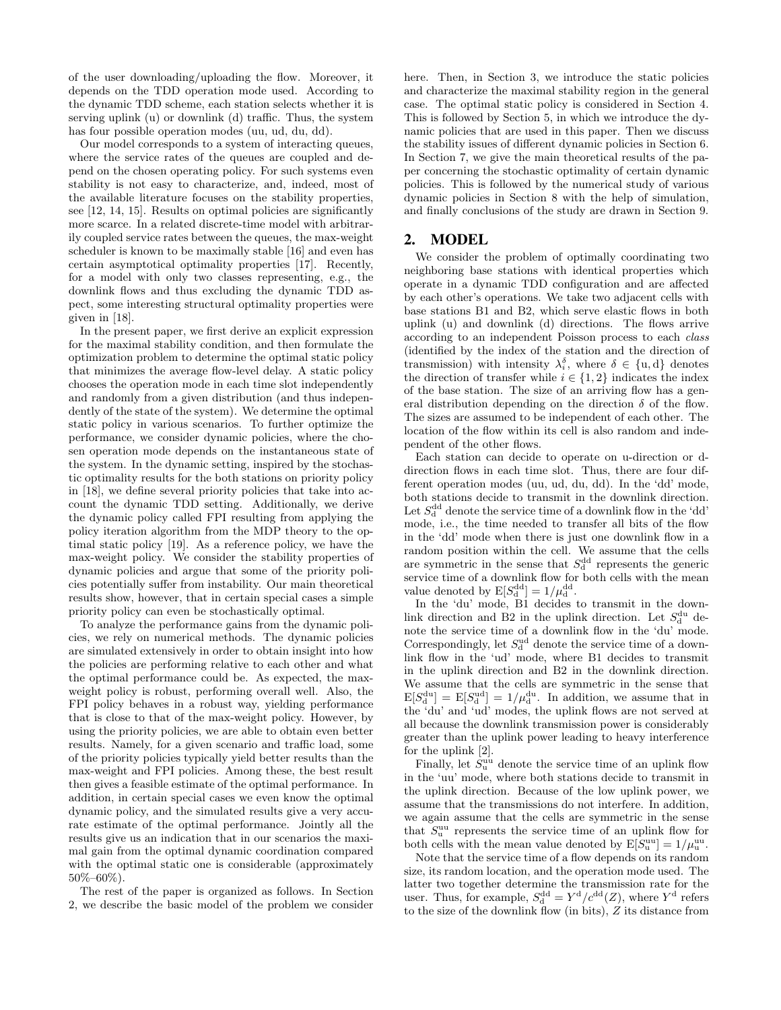of the user downloading/uploading the flow. Moreover, it depends on the TDD operation mode used. According to the dynamic TDD scheme, each station selects whether it is serving uplink (u) or downlink (d) traffic. Thus, the system has four possible operation modes (uu, ud, du, dd).

Our model corresponds to a system of interacting queues, where the service rates of the queues are coupled and depend on the chosen operating policy. For such systems even stability is not easy to characterize, and, indeed, most of the available literature focuses on the stability properties, see [12, 14, 15]. Results on optimal policies are significantly more scarce. In a related discrete-time model with arbitrarily coupled service rates between the queues, the max-weight scheduler is known to be maximally stable [16] and even has certain asymptotical optimality properties [17]. Recently, for a model with only two classes representing, e.g., the downlink flows and thus excluding the dynamic TDD aspect, some interesting structural optimality properties were given in [18].

In the present paper, we first derive an explicit expression for the maximal stability condition, and then formulate the optimization problem to determine the optimal static policy that minimizes the average flow-level delay. A static policy chooses the operation mode in each time slot independently and randomly from a given distribution (and thus independently of the state of the system). We determine the optimal static policy in various scenarios. To further optimize the performance, we consider dynamic policies, where the chosen operation mode depends on the instantaneous state of the system. In the dynamic setting, inspired by the stochastic optimality results for the both stations on priority policy in [18], we define several priority policies that take into account the dynamic TDD setting. Additionally, we derive the dynamic policy called FPI resulting from applying the policy iteration algorithm from the MDP theory to the optimal static policy [19]. As a reference policy, we have the max-weight policy. We consider the stability properties of dynamic policies and argue that some of the priority policies potentially suffer from instability. Our main theoretical results show, however, that in certain special cases a simple priority policy can even be stochastically optimal.

To analyze the performance gains from the dynamic policies, we rely on numerical methods. The dynamic policies are simulated extensively in order to obtain insight into how the policies are performing relative to each other and what the optimal performance could be. As expected, the maxweight policy is robust, performing overall well. Also, the FPI policy behaves in a robust way, yielding performance that is close to that of the max-weight policy. However, by using the priority policies, we are able to obtain even better results. Namely, for a given scenario and traffic load, some of the priority policies typically yield better results than the max-weight and FPI policies. Among these, the best result then gives a feasible estimate of the optimal performance. In addition, in certain special cases we even know the optimal dynamic policy, and the simulated results give a very accurate estimate of the optimal performance. Jointly all the results give us an indication that in our scenarios the maximal gain from the optimal dynamic coordination compared with the optimal static one is considerable (approximately 50%–60%).

The rest of the paper is organized as follows. In Section 2, we describe the basic model of the problem we consider here. Then, in Section 3, we introduce the static policies and characterize the maximal stability region in the general case. The optimal static policy is considered in Section 4. This is followed by Section 5, in which we introduce the dynamic policies that are used in this paper. Then we discuss the stability issues of different dynamic policies in Section 6. In Section 7, we give the main theoretical results of the paper concerning the stochastic optimality of certain dynamic policies. This is followed by the numerical study of various dynamic policies in Section 8 with the help of simulation, and finally conclusions of the study are drawn in Section 9.

# 2. MODEL

We consider the problem of optimally coordinating two neighboring base stations with identical properties which operate in a dynamic TDD configuration and are affected by each other's operations. We take two adjacent cells with base stations B1 and B2, which serve elastic flows in both uplink (u) and downlink (d) directions. The flows arrive according to an independent Poisson process to each class (identified by the index of the station and the direction of transmission) with intensity  $\lambda_i^{\delta}$ , where  $\delta \in \{u, d\}$  denotes the direction of transfer while  $i \in \{1, 2\}$  indicates the index of the base station. The size of an arriving flow has a general distribution depending on the direction  $\delta$  of the flow. The sizes are assumed to be independent of each other. The location of the flow within its cell is also random and independent of the other flows.

Each station can decide to operate on u-direction or ddirection flows in each time slot. Thus, there are four different operation modes (uu, ud, du, dd). In the 'dd' mode, both stations decide to transmit in the downlink direction. Let  $S_d^{\text{dd}}$  denote the service time of a downlink flow in the 'dd' mode, i.e., the time needed to transfer all bits of the flow in the 'dd' mode when there is just one downlink flow in a random position within the cell. We assume that the cells are symmetric in the sense that  $S_d^{\text{dd}}$  represents the generic service time of a downlink flow for both cells with the mean value denoted by  $E[S_d^{\text{dd}}] = 1/\mu_d^{\text{dd}}$ .

In the 'du' mode, B1 decides to transmit in the downlink direction and B2 in the uplink direction. Let  $S_d^{\text{du}}$  denote the service time of a downlink flow in the 'du' mode. Correspondingly, let  $S_d^{\text{ud}}$  denote the service time of a downlink flow in the 'ud' mode, where B1 decides to transmit in the uplink direction and B2 in the downlink direction. We assume that the cells are symmetric in the sense that  $E[S_d^{\text{du}}] = E[S_d^{\text{ud}}] = 1/\mu_d^{\text{du}}$ . In addition, we assume that in the 'du' and 'ud' modes, the uplink flows are not served at all because the downlink transmission power is considerably greater than the uplink power leading to heavy interference for the uplink [2].

Finally, let  $S_u^{\text{uu}}$  denote the service time of an uplink flow in the 'uu' mode, where both stations decide to transmit in the uplink direction. Because of the low uplink power, we assume that the transmissions do not interfere. In addition, we again assume that the cells are symmetric in the sense that  $S_{\mathbf{u}}^{\mathbf{u}}$  represents the service time of an uplink flow for both cells with the mean value denoted by  $E[S_u^{uu}] = 1/\mu_u^{uu}$ .

Note that the service time of a flow depends on its random size, its random location, and the operation mode used. The latter two together determine the transmission rate for the user. Thus, for example,  $S_d^{\text{dd}} = Y^{\text{d}}/c^{\text{dd}}(Z)$ , where  $Y^{\text{d}}$  refers to the size of the downlink flow (in bits), Z its distance from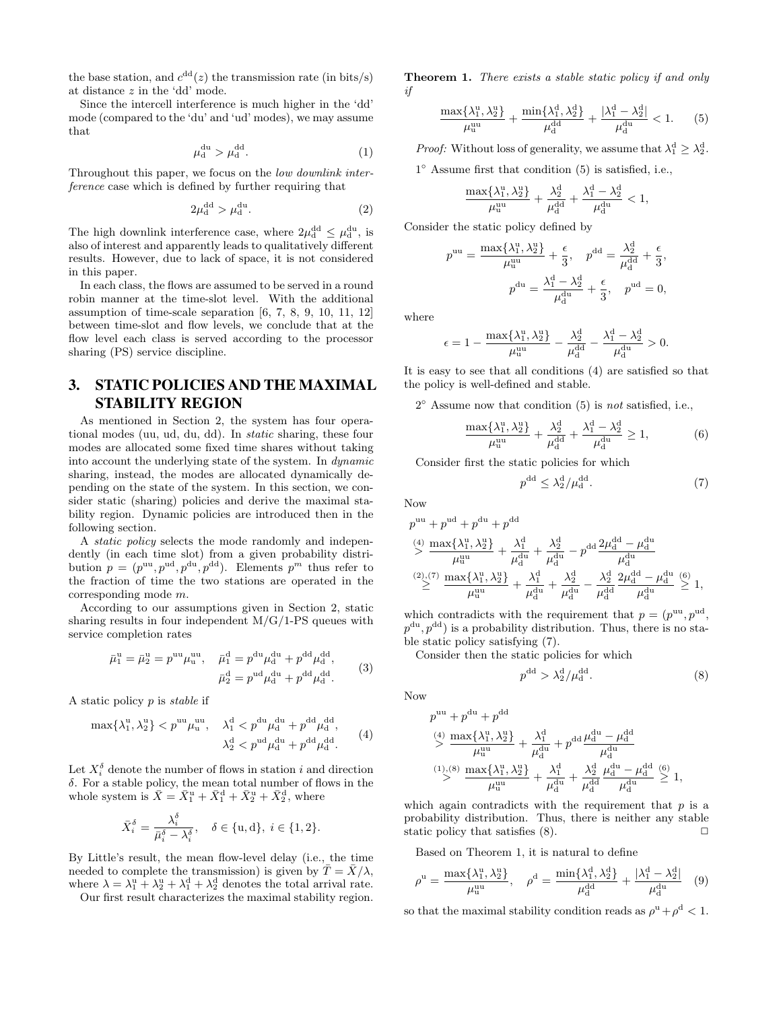the base station, and  $c^{dd}(z)$  the transmission rate (in bits/s) at distance z in the 'dd' mode.

Since the intercell interference is much higher in the 'dd' mode (compared to the 'du' and 'ud' modes), we may assume that

$$
\mu_{\rm d}^{\rm du} > \mu_{\rm d}^{\rm dd}.\tag{1}
$$

Throughout this paper, we focus on the low downlink interference case which is defined by further requiring that

$$
2\mu_{\rm d}^{\rm dd} > \mu_{\rm d}^{\rm du}.\tag{2}
$$

The high downlink interference case, where  $2\mu_d^{\text{dd}} \leq \mu_d^{\text{du}}$ , is also of interest and apparently leads to qualitatively different results. However, due to lack of space, it is not considered in this paper.

In each class, the flows are assumed to be served in a round robin manner at the time-slot level. With the additional assumption of time-scale separation [6, 7, 8, 9, 10, 11, 12] between time-slot and flow levels, we conclude that at the flow level each class is served according to the processor sharing (PS) service discipline.

# 3. STATIC POLICIES AND THE MAXIMAL STABILITY REGION

As mentioned in Section 2, the system has four operational modes (uu, ud, du, dd). In static sharing, these four modes are allocated some fixed time shares without taking into account the underlying state of the system. In dynamic sharing, instead, the modes are allocated dynamically depending on the state of the system. In this section, we consider static (sharing) policies and derive the maximal stability region. Dynamic policies are introduced then in the following section.

A static policy selects the mode randomly and independently (in each time slot) from a given probability distribution  $p = (p^{\text{uu}}, p^{\text{ud}}, p^{\text{du}}, p^{\text{dd}})$ . Elements  $p^m$  thus refer to the fraction of time the two stations are operated in the corresponding mode m.

According to our assumptions given in Section 2, static sharing results in four independent M/G/1-PS queues with service completion rates

$$
\bar{\mu}_1^{\rm u} = \bar{\mu}_2^{\rm u} = p^{\rm uu} \mu_{\rm u}^{\rm uu}, \quad \bar{\mu}_1^{\rm d} = p^{\rm du} \mu_{\rm d}^{\rm du} + p^{\rm dd} \mu_{\rm d}^{\rm dd}, \n\bar{\mu}_2^{\rm d} = p^{\rm ud} \mu_{\rm d}^{\rm du} + p^{\rm dd} \mu_{\rm d}^{\rm dd}.
$$
\n(3)

A static policy  $p$  is stable if

$$
\max\{\lambda_1^{\mathrm{u}}, \lambda_2^{\mathrm{u}}\} < p^{\mathrm{uu}} \mu_{\mathrm{u}}^{\mathrm{uu}}, \quad \lambda_1^{\mathrm{d}} < p^{\mathrm{du}} \mu_{\mathrm{d}}^{\mathrm{du}} + p^{\mathrm{dd}} \mu_{\mathrm{d}}^{\mathrm{dd}},
$$
\n
$$
\lambda_2^{\mathrm{d}} < p^{\mathrm{ud}} \mu_{\mathrm{d}}^{\mathrm{du}} + p^{\mathrm{dd}} \mu_{\mathrm{d}}^{\mathrm{dd}}.
$$
\n
$$
(4)
$$

Let  $X_i^{\delta}$  denote the number of flows in station i and direction  $\delta$ . For a stable policy, the mean total number of flows in the whole system is  $\bar{X} = \bar{X}_1^{\text{u}} + \bar{X}_1^{\text{d}} + \bar{X}_2^{\text{u}} + \bar{X}_2^{\text{d}}$ , where

$$
\bar{X}_i^{\delta} = \frac{\lambda_i^{\delta}}{\bar{\mu}_i^{\delta} - \lambda_i^{\delta}}, \quad \delta \in \{\mathbf{u}, \mathbf{d}\}, \ i \in \{1, 2\}.
$$

By Little's result, the mean flow-level delay (i.e., the time needed to complete the transmission) is given by  $\overline{T} = \overline{X}/\lambda$ , where  $\lambda = \lambda_1^{\mathrm{u}} + \lambda_2^{\mathrm{u}} + \lambda_1^{\mathrm{d}} + \lambda_2^{\mathrm{d}}$  denotes the total arrival rate.

Our first result characterizes the maximal stability region.

Theorem 1. There exists a stable static policy if and only if

$$
\frac{\max\{\lambda_1^u, \lambda_2^u\}}{\mu_u^{\text{uu}}} + \frac{\min\{\lambda_1^d, \lambda_2^d\}}{\mu_d^{\text{dd}}} + \frac{|\lambda_1^d - \lambda_2^d|}{\mu_d^{\text{du}}} < 1. \tag{5}
$$

*Proof:* Without loss of generality, we assume that  $\lambda_1^d \geq \lambda_2^d$ .

1 ◦ Assume first that condition (5) is satisfied, i.e.,

$$
\frac{\max\{\lambda_1^u,\lambda_2^u\}}{\mu_u^{uu}}+\frac{\lambda_2^d}{\mu_d^{dd}}+\frac{\lambda_1^d-\lambda_2^d}{\mu_d^{du}}<1,
$$

Consider the static policy defined by

$$
p^{\text{uu}} = \frac{\max\{\lambda_1^{\text{u}}, \lambda_2^{\text{u}}\}}{\mu_{\text{u}}^{\text{uu}}} + \frac{\epsilon}{3}, \quad p^{\text{dd}} = \frac{\lambda_2^{\text{d}}}{\mu_{\text{d}}^{\text{dd}}} + \frac{\epsilon}{3},
$$

$$
p^{\text{du}} = \frac{\lambda_1^{\text{d}} - \lambda_2^{\text{d}}}{\mu_{\text{d}}^{\text{du}}} + \frac{\epsilon}{3}, \quad p^{\text{ud}} = 0,
$$

where

$$
\epsilon = 1 - \frac{\max\{\lambda_1^u, \lambda_2^u\}}{\mu_u^{uu}} - \frac{\lambda_2^d}{\mu_d^{dd}} - \frac{\lambda_1^d - \lambda_2^d}{\mu_d^{du}} > 0.
$$

It is easy to see that all conditions (4) are satisfied so that the policy is well-defined and stable.

 $2^{\circ}$  Assume now that condition (5) is not satisfied, i.e.,

$$
\frac{\max\{\lambda_1^u, \lambda_2^u\}}{\mu_u^{uu}} + \frac{\lambda_2^d}{\mu_d^{dd}} + \frac{\lambda_1^d - \lambda_2^d}{\mu_d^{du}} \ge 1, \tag{6}
$$

Consider first the static policies for which

$$
p^{\rm dd} \le \lambda_2^{\rm d} / \mu_{\rm d}^{\rm dd}.\tag{7}
$$

Now

$$
p^{\text{uu}} + p^{\text{ud}} + p^{\text{du}} + p^{\text{dd}} + p^{\text{dd}}
$$
  
\n
$$
\overset{(4)}{\geq} \frac{\max\{\lambda_1^{\text{u}}, \lambda_2^{\text{u}}\}}{\mu_{\text{u}}^{\text{uu}}} + \frac{\lambda_1^{\text{d}}}{\mu_{\text{d}}^{\text{du}}} + \frac{\lambda_2^{\text{d}}}{\mu_{\text{d}}^{\text{du}}} - p^{\text{dd}} \frac{2\mu_{\text{d}}^{\text{dd}} - \mu_{\text{d}}^{\text{du}}}{\mu_{\text{d}}^{\text{du}}}
$$
  
\n
$$
\overset{(2),(7)}{\geq} \frac{\max\{\lambda_1^{\text{u}}, \lambda_2^{\text{u}}\}}{\mu_{\text{u}}^{\text{uu}}} + \frac{\lambda_1^{\text{d}}}{\mu_{\text{d}}^{\text{du}}} + \frac{\lambda_2^{\text{d}}}{\mu_{\text{d}}^{\text{du}}} - \frac{\lambda_2^{\text{d}}}{\mu_{\text{d}}^{\text{dd}}} \frac{2\mu_{\text{d}}^{\text{dd}} - \mu_{\text{d}}^{\text{du}}}{{\mu_{\text{d}}^{\text{du}}}} \overset{(6)}{\geq} 1,
$$

which contradicts with the requirement that  $p = (p^{\text{uu}}, p^{\text{ud}})$ ,  $p^{\text{du}}, p^{\text{dd}}$  is a probability distribution. Thus, there is no stable static policy satisfying (7).

Consider then the static policies for which

$$
p^{\rm dd} > \lambda_2^{\rm d} / \mu_{\rm d}^{\rm dd}.\tag{8}
$$

Now

$$
\begin{aligned} &p^{\text{uu}}+p^{\text{du}}+p^{\text{dd}} \\ &\overset{(4)}{>}\frac{\max\{\lambda_1^{\text{u}},\lambda_2^{\text{u}}\}}{\mu_\text{u}^{\text{uu}}}+\frac{\lambda_1^{\text{d}}}{\mu_\text{d}^{\text{du}}}+p^{\text{dd}}\frac{\mu_\text{d}^{\text{du}}-\mu_\text{d}^{\text{dd}}}{\mu_\text{d}^{\text{du}}} \\ &\overset{(1),(8)}{>}\frac{\max\{\lambda_1^{\text{u}},\lambda_2^{\text{u}}\}}{\mu_\text{u}^{\text{uu}}}+\frac{\lambda_1^{\text{d}}}{\mu_\text{d}^{\text{du}}}+\frac{\lambda_2^{\text{d}}}{\mu_\text{d}^{\text{dd}}}\frac{\mu_\text{d}^{\text{du}}-\mu_\text{d}^{\text{dd}}}{\mu_\text{d}^{\text{du}}}\overset{(6)}{\geq}1, \end{aligned}
$$

which again contradicts with the requirement that  $p$  is a probability distribution. Thus, there is neither any stable static policy that satisfies  $(8)$ .

Based on Theorem 1, it is natural to define

$$
\rho^{\rm u} = \frac{\max\{\lambda_1^{\rm u}, \lambda_2^{\rm u}\}}{\mu_{\rm u}^{\rm uu}}, \quad \rho^{\rm d} = \frac{\min\{\lambda_1^{\rm d}, \lambda_2^{\rm d}\}}{\mu_{\rm d}^{\rm dd}} + \frac{|\lambda_1^{\rm d} - \lambda_2^{\rm d}|}{\mu_{\rm d}^{\rm du}} \quad (9)
$$

so that the maximal stability condition reads as  $\rho^{\rm u} + \rho^{\rm d} < 1$ .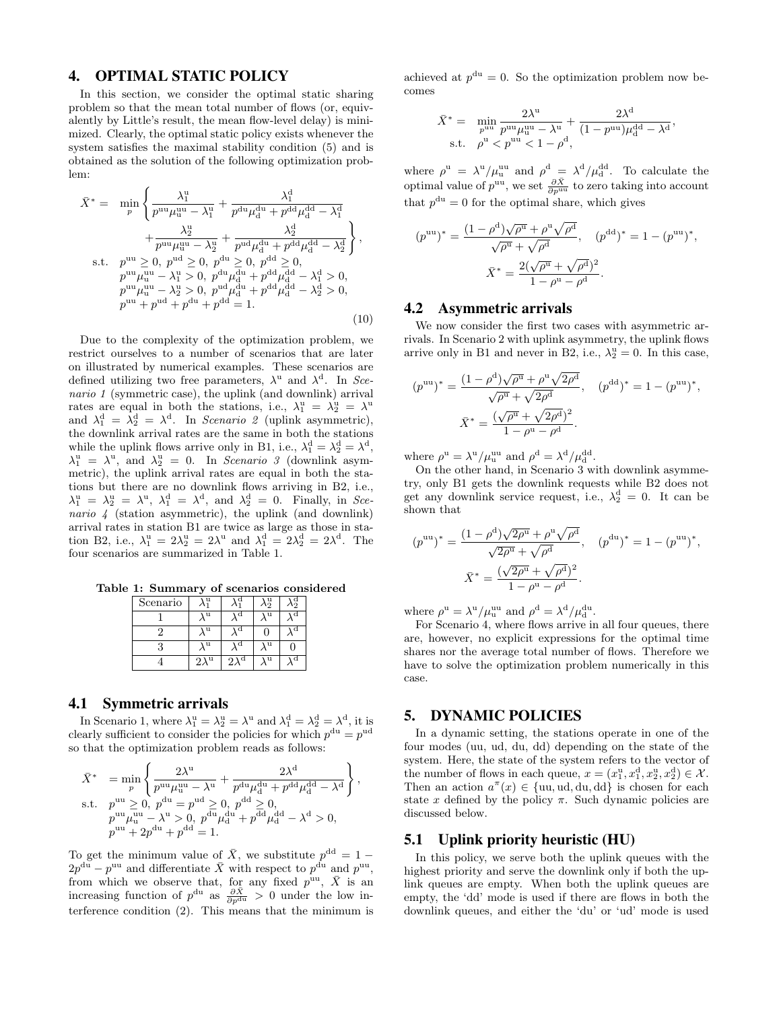## 4. OPTIMAL STATIC POLICY

In this section, we consider the optimal static sharing problem so that the mean total number of flows (or, equivalently by Little's result, the mean flow-level delay) is minimized. Clearly, the optimal static policy exists whenever the system satisfies the maximal stability condition (5) and is obtained as the solution of the following optimization problem:

$$
\bar{X}^* = \min_{p} \left\{ \frac{\lambda_1^{\mathrm{u}}}{p^{\mathrm{uu}} \mu_1^{\mathrm{uu}} - \lambda_1^{\mathrm{u}}} + \frac{\lambda_1^{\mathrm{d}}}{p^{\mathrm{du}} \mu_1^{\mathrm{du}} + p^{\mathrm{dd}} \mu_1^{\mathrm{dd}} - \lambda_1^{\mathrm{d}}}
$$

$$
+ \frac{\lambda_2^{\mathrm{u}}}{p^{\mathrm{uu}} \mu_1^{\mathrm{uu}} - \lambda_2^{\mathrm{u}}} + \frac{\lambda_2^{\mathrm{d}}}{p^{\mathrm{ud}} \mu_1^{\mathrm{du}} + p^{\mathrm{dd}} \mu_1^{\mathrm{dd}} - \lambda_2^{\mathrm{d}}}{\lambda_2^{\mathrm{d}}},
$$
  
s.t.  $p^{\mathrm{uu}} \ge 0$ ,  $p^{\mathrm{ud}} \ge 0$ ,  $p^{\mathrm{du}} \ge 0$ ,  $p^{\mathrm{dd}} \ge 0$ ,  
 $p^{\mathrm{uu}} \mu_1^{\mathrm{uu}} - \lambda_1^{\mathrm{u}} > 0$ ,  $p^{\mathrm{du}} \mu_1^{\mathrm{du}} + p^{\mathrm{dd}} \mu_1^{\mathrm{dd}} - \lambda_1^{\mathrm{d}} > 0$ ,  
 $p^{\mathrm{uu}} \mu_1^{\mathrm{uu}} - \lambda_2^{\mathrm{u}} > 0$ ,  $p^{\mathrm{ud}} \mu_1^{\mathrm{du}} + p^{\mathrm{dd}} \mu_1^{\mathrm{dd}} - \lambda_2^{\mathrm{d}} > 0$ ,  
 $p^{\mathrm{uu}} + p^{\mathrm{ud}} + p^{\mathrm{du}} + p^{\mathrm{dd}} = 1$ . (10)

Due to the complexity of the optimization problem, we restrict ourselves to a number of scenarios that are later on illustrated by numerical examples. These scenarios are defined utilizing two free parameters,  $\lambda^u$  and  $\lambda^d$ . In Scenario 1 (symmetric case), the uplink (and downlink) arrival rates are equal in both the stations, i.e.,  $\lambda_1^{\mathrm{u}} = \lambda_2^{\mathrm{u}} = \lambda^{\mathrm{u}}$ and  $\lambda_1^d = \lambda_2^d = \lambda^d$ . In Scenario 2 (uplink asymmetric), the downlink arrival rates are the same in both the stations while the uplink flows arrive only in B1, i.e.,  $\lambda_1^d = \lambda_2^d = \lambda^d$ ,  $\lambda_1^{\mathrm{u}} = \lambda^{\mathrm{u}}$ , and  $\lambda_2^{\mathrm{u}} = 0$ . In Scenario 3 (downlink asymmetric), the uplink arrival rates are equal in both the stations but there are no downlink flows arriving in B2, i.e.,  $\lambda_1^{\mathrm{u}} = \lambda_2^{\mathrm{u}} = \lambda^{\mathrm{u}}$ ,  $\lambda_1^{\mathrm{d}} = \lambda^{\mathrm{d}}$ , and  $\lambda_2^{\mathrm{d}} = 0$ . Finally, in Scenario 4 (station asymmetric), the uplink (and downlink) arrival rates in station B1 are twice as large as those in station B2, i.e.,  $\lambda_1^{\mathrm{u}} = 2\lambda_2^{\mathrm{u}} = 2\lambda^{\mathrm{u}}$  and  $\lambda_1^{\mathrm{d}} = 2\lambda_2^{\mathrm{d}} = 2\lambda^{\mathrm{d}}$ . The four scenarios are summarized in Table 1.

Table 1: Summary of scenarios considered

| Scenario | u               | u |  |
|----------|-----------------|---|--|
|          | u               | u |  |
|          | u               |   |  |
|          | u               | u |  |
|          | u<br>$2\lambda$ | u |  |

### 4.1 Symmetric arrivals

In Scenario 1, where  $\lambda_1^{\mathrm{u}} = \lambda_2^{\mathrm{u}} = \lambda^{\mathrm{u}}$  and  $\lambda_1^{\mathrm{d}} = \lambda_2^{\mathrm{d}} = \lambda^{\mathrm{d}}$ , it is clearly sufficient to consider the policies for which  $p^{\text{du}} = p^{\text{ud}}$ so that the optimization problem reads as follows:

$$
\bar{X}^* = \min_p \left\{ \frac{2\lambda^{\mathrm{u}}}{p^{\mathrm{uu}} \mu_{\mathrm{u}}^{\mathrm{uu}} - \lambda^{\mathrm{u}}} + \frac{2\lambda^{\mathrm{d}}}{p^{\mathrm{du}} \mu_{\mathrm{d}}^{\mathrm{du}} + p^{\mathrm{dd}} \mu_{\mathrm{d}}^{\mathrm{dd}} - \lambda^{\mathrm{d}}} \right\},\text{ s.t. } p^{\mathrm{uu}} \ge 0, p^{\mathrm{du}} = p^{\mathrm{ud}} \ge 0, p^{\mathrm{dd}} \ge 0, \quad p^{\mathrm{dd}} \ge 0, \quad p^{\mathrm{dd}} \ge 0, \quad p^{\mathrm{ud}} \mu_{\mathrm{d}}^{\mathrm{du}} + p^{\mathrm{dd}} \mu_{\mathrm{d}}^{\mathrm{dd}} - \lambda^{\mathrm{d}} > 0, \quad p^{\mathrm{uu}} + 2p^{\mathrm{du}} + p^{\mathrm{dd}} = 1.
$$

To get the minimum value of  $\bar{X}$ , we substitute  $p^{\text{dd}} = 1 2p^{\text{du}} - p^{\text{uu}}$  and differentiate  $\bar{X}$  with respect to  $p^{\text{du}}$  and  $p^{\text{uu}}$ , from which we observe that, for any fixed  $p^{\text{uu}}$ ,  $\bar{X}$  is an increasing function of  $p^{\text{du}}$  as  $\frac{\partial \bar{X}}{\partial p^{\text{du}}} > 0$  under the low interference condition (2). This means that the minimum is

achieved at  $p^{\text{du}} = 0$ . So the optimization problem now becomes

$$
\bar{X}^* = \min_{p^{\text{uu}}} \frac{2\lambda^{\text{u}}}{p^{\text{uu}}\mu_{\text{u}}^{\text{uu}} - \lambda^{\text{u}}} + \frac{2\lambda^{\text{d}}}{(1 - p^{\text{uu}})\mu_{\text{d}}^{\text{dd}} - \lambda^{\text{d}}},
$$
s.t. 
$$
\rho^{\text{u}} < p^{\text{uu}} < 1 - \rho^{\text{d}},
$$

where  $\rho^{\rm u} = \lambda^{\rm u}/\mu_{\rm u}^{\rm uu}$  and  $\rho^{\rm d} = \lambda^{\rm d}/\mu_{\rm d}^{\rm dd}$ . To calculate the optimal value of  $p^{\text{uu}}$ , we set  $\frac{\partial \bar{X}}{\partial p^{\text{uu}}}$  to zero taking into account that  $p^{\text{du}} = 0$  for the optimal share, which gives

$$
(p^{\text{uu}})^* = \frac{(1 - \rho^{\text{d}})\sqrt{\rho^{\text{u}}} + \rho^{\text{u}}\sqrt{\rho^{\text{d}}}}{\sqrt{\rho^{\text{u}}} + \sqrt{\rho^{\text{d}}}}, \quad (p^{\text{dd}})^* = 1 - (p^{\text{uu}})^*,
$$

$$
\bar{X}^* = \frac{2(\sqrt{\rho^{\text{u}}} + \sqrt{\rho^{\text{d}}})^2}{1 - \rho^{\text{u}} - \rho^{\text{d}}}.
$$

## 4.2 Asymmetric arrivals

We now consider the first two cases with asymmetric arrivals. In Scenario 2 with uplink asymmetry, the uplink flows arrive only in B1 and never in B2, i.e.,  $\lambda_2^{\mathrm{u}} = 0$ . In this case,

$$
(p^{\text{uu}})^* = \frac{(1 - \rho^{\text{d}})\sqrt{\rho^{\text{u}}} + \rho^{\text{u}}\sqrt{2\rho^{\text{d}}}}{\sqrt{\rho^{\text{u}}} + \sqrt{2\rho^{\text{d}}}}, \quad (p^{\text{dd}})^* = 1 - (p^{\text{uu}})^*,
$$
  

$$
\bar{X}^* = \frac{(\sqrt{\rho^{\text{u}}} + \sqrt{2\rho^{\text{d}}})^2}{1 - \rho^{\text{u}} - \rho^{\text{d}}}.
$$

where  $\rho^{\rm u} = \lambda^{\rm u}/\mu_{\rm u}^{\rm uu}$  and  $\rho^{\rm d} = \lambda^{\rm d}/\mu_{\rm d}^{\rm dd}$ .

On the other hand, in Scenario 3 with downlink asymmetry, only B1 gets the downlink requests while B2 does not get any downlink service request, i.e.,  $\lambda_2^d = 0$ . It can be shown that

$$
(p^{\text{uu}})^* = \frac{(1 - \rho^{\text{d}})\sqrt{2\rho^{\text{u}}} + \rho^{\text{u}}\sqrt{\rho^{\text{d}}}}{\sqrt{2\rho^{\text{u}}} + \sqrt{\rho^{\text{d}}}}, \quad (p^{\text{du}})^* = 1 - (p^{\text{uu}})^*,
$$
  

$$
\bar{X}^* = \frac{(\sqrt{2\rho^{\text{u}}} + \sqrt{\rho^{\text{d}}})^2}{1 - \rho^{\text{u}} - \rho^{\text{d}}}.
$$

where  $\rho^{\rm u} = \lambda^{\rm u}/\mu_{\rm u}^{\rm uu}$  and  $\rho^{\rm d} = \lambda^{\rm d}/\mu_{\rm d}^{\rm du}$ .

For Scenario 4, where flows arrive in all four queues, there are, however, no explicit expressions for the optimal time shares nor the average total number of flows. Therefore we have to solve the optimization problem numerically in this case.

## 5. DYNAMIC POLICIES

In a dynamic setting, the stations operate in one of the four modes (uu, ud, du, dd) depending on the state of the system. Here, the state of the system refers to the vector of the number of flows in each queue,  $x = (x_1^u, x_1^d, x_2^u, x_2^d) \in \mathcal{X}$ . Then an action  $a^{\pi}(x) \in \{\text{uu}, \text{ud}, \text{du}, \text{dd}\}\$ is chosen for each state x defined by the policy  $\pi$ . Such dynamic policies are discussed below.

## 5.1 Uplink priority heuristic (HU)

In this policy, we serve both the uplink queues with the highest priority and serve the downlink only if both the uplink queues are empty. When both the uplink queues are empty, the 'dd' mode is used if there are flows in both the downlink queues, and either the 'du' or 'ud' mode is used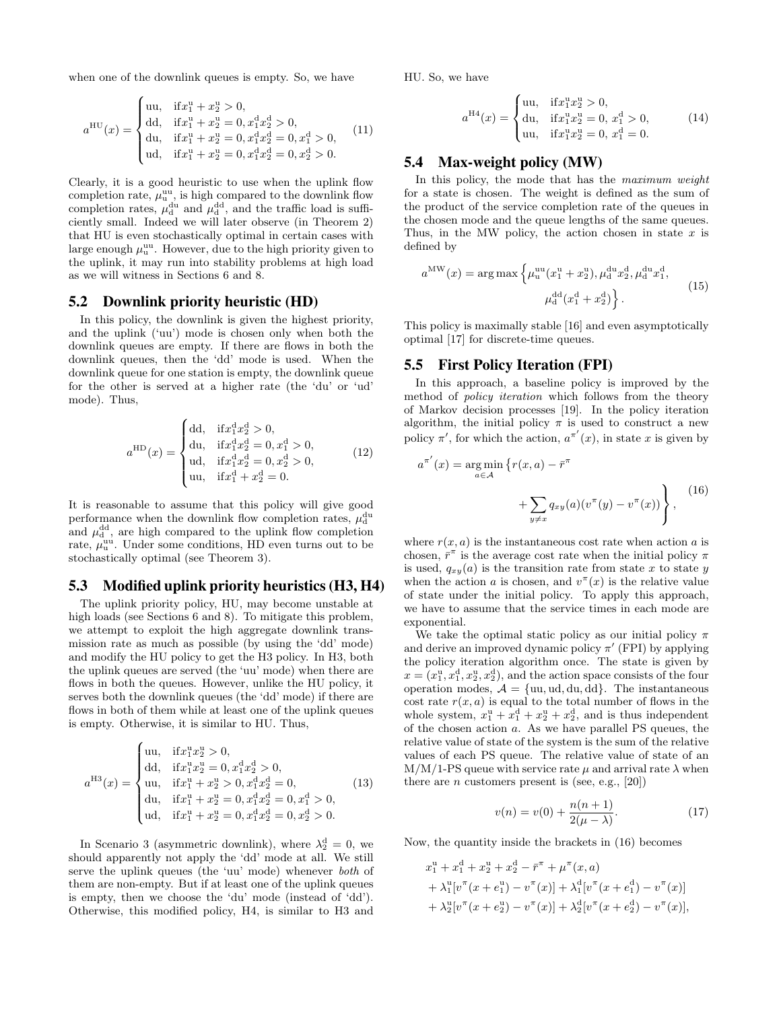when one of the downlink queues is empty. So, we have

$$
a^{\rm HU}(x) = \begin{cases} \text{uu}, & \text{if } x_1^{\rm u} + x_2^{\rm u} > 0, \\ \text{dd}, & \text{if } x_1^{\rm u} + x_2^{\rm u} = 0, x_1^{\rm d} x_2^{\rm d} > 0, \\ \text{du}, & \text{if } x_1^{\rm u} + x_2^{\rm u} = 0, x_1^{\rm d} x_2^{\rm d} = 0, x_1^{\rm d} > 0, \\ \text{ud}, & \text{if } x_1^{\rm u} + x_2^{\rm u} = 0, x_1^{\rm d} x_2^{\rm d} = 0, x_2^{\rm d} > 0. \end{cases} \tag{11}
$$

Clearly, it is a good heuristic to use when the uplink flow completion rate,  $\mu_u^{\text{uu}}$ , is high compared to the downlink flow completion rates,  $\mu_d^{\text{du}}$  and  $\mu_d^{\text{dd}}$ , and the traffic load is sufficiently small. Indeed we will later observe (in Theorem 2) that HU is even stochastically optimal in certain cases with large enough  $\mu_u^{uu}$ . However, due to the high priority given to the uplink, it may run into stability problems at high load as we will witness in Sections 6 and 8.

#### 5.2 Downlink priority heuristic (HD)

In this policy, the downlink is given the highest priority, and the uplink ('uu') mode is chosen only when both the downlink queues are empty. If there are flows in both the downlink queues, then the 'dd' mode is used. When the downlink queue for one station is empty, the downlink queue for the other is served at a higher rate (the 'du' or 'ud' mode). Thus,

$$
a^{\text{HD}}(x) = \begin{cases} \n\text{dd}, & \text{if } x_1^d x_2^d > 0, \\ \n\text{du}, & \text{if } x_1^d x_2^d = 0, x_1^d > 0, \\ \n\text{ud}, & \text{if } x_1^d x_2^d = 0, x_2^d > 0, \\ \n\text{uu}, & \text{if } x_1^d + x_2^d = 0. \n\end{cases} \tag{12}
$$

It is reasonable to assume that this policy will give good performance when the downlink flow completion rates,  $\mu_d^{\text{du}}$ and  $\mu_d^{\text{dd}}$ , are high compared to the uplink flow completion rate,  $\mu_u^{\text{uu}}$ . Under some conditions, HD even turns out to be stochastically optimal (see Theorem 3).

#### 5.3 Modified uplink priority heuristics (H3, H4)

The uplink priority policy, HU, may become unstable at high loads (see Sections 6 and 8). To mitigate this problem, we attempt to exploit the high aggregate downlink transmission rate as much as possible (by using the 'dd' mode) and modify the HU policy to get the H3 policy. In H3, both the uplink queues are served (the 'uu' mode) when there are flows in both the queues. However, unlike the HU policy, it serves both the downlink queues (the 'dd' mode) if there are flows in both of them while at least one of the uplink queues is empty. Otherwise, it is similar to HU. Thus,

 $\overline{\phantom{a}}$ 

$$
a^{H3}(x) = \begin{cases} \n\text{uu}, & \text{if } x_1^u x_2^u > 0, \\ \n\text{dd}, & \text{if } x_1^u x_2^u = 0, x_1^d x_2^d > 0, \\ \n\text{uu}, & \text{if } x_1^u + x_2^u > 0, x_1^d x_2^d = 0, \\ \n\text{du}, & \text{if } x_1^u + x_2^u = 0, x_1^d x_2^d = 0, x_1^d > 0, \\ \n\text{ud}, & \text{if } x_1^u + x_2^u = 0, x_1^d x_2^d = 0, x_2^d > 0. \n\end{cases} \tag{13}
$$

In Scenario 3 (asymmetric downlink), where  $\lambda_2^d = 0$ , we should apparently not apply the 'dd' mode at all. We still serve the uplink queues (the 'uu' mode) whenever both of them are non-empty. But if at least one of the uplink queues is empty, then we choose the 'du' mode (instead of 'dd'). Otherwise, this modified policy, H4, is similar to H3 and HU. So, we have

$$
a^{\text{H4}}(x) = \begin{cases} \text{uu}, & \text{if } x_1^{\text{u}} x_2^{\text{u}} > 0, \\ \text{du}, & \text{if } x_1^{\text{u}} x_2^{\text{u}} = 0, \ x_1^{\text{d}} > 0, \\ \text{uu}, & \text{if } x_1^{\text{u}} x_2^{\text{u}} = 0, \ x_1^{\text{d}} = 0. \end{cases} \tag{14}
$$

# 5.4 Max-weight policy (MW)

In this policy, the mode that has the maximum weight for a state is chosen. The weight is defined as the sum of the product of the service completion rate of the queues in the chosen mode and the queue lengths of the same queues. Thus, in the MW policy, the action chosen in state  $x$  is defined by

$$
a^{\rm MW}(x) = \arg \max \left\{ \mu_u^{\rm uu}(x_1^{\rm u} + x_2^{\rm u}), \mu_d^{\rm du} x_2^{\rm d}, \mu_d^{\rm du} x_1^{\rm d}, \mu_d^{\rm dd}(x_1^{\rm d} + x_2^{\rm d}) \right\}.
$$
\n(15)

This policy is maximally stable [16] and even asymptotically optimal [17] for discrete-time queues.

## 5.5 First Policy Iteration (FPI)

In this approach, a baseline policy is improved by the method of *policy iteration* which follows from the theory of Markov decision processes [19]. In the policy iteration algorithm, the initial policy  $\pi$  is used to construct a new policy  $\pi'$ , for which the action,  $a^{\pi'}(x)$ , in state x is given by

$$
a^{\pi'}(x) = \underset{a \in \mathcal{A}}{\arg \min} \left\{ r(x, a) - \bar{r}^{\pi} \right\}
$$

$$
+ \sum_{y \neq x} q_{xy}(a) (v^{\pi}(y) - v^{\pi}(x)) \right\}, \quad (16)
$$

where  $r(x, a)$  is the instantaneous cost rate when action a is chosen,  $\bar{r}^{\pi}$  is the average cost rate when the initial policy  $\pi$ is used,  $q_{xy}(a)$  is the transition rate from state x to state y when the action a is chosen, and  $v^{\pi}(x)$  is the relative value of state under the initial policy. To apply this approach, we have to assume that the service times in each mode are exponential.

We take the optimal static policy as our initial policy  $\pi$ and derive an improved dynamic policy  $\pi'$  (FPI) by applying the policy iteration algorithm once. The state is given by  $x = (x_1^{\mathrm{u}}, x_1^{\mathrm{d}}, x_2^{\mathrm{u}}, x_2^{\mathrm{d}})$ , and the action space consists of the four operation modes,  $A = \{uu, ud, du, dd\}$ . The instantaneous cost rate  $r(x, a)$  is equal to the total number of flows in the whole system,  $x_1^u + x_1^d + x_2^u + x_2^d$ , and is thus independent of the chosen action a. As we have parallel PS queues, the relative value of state of the system is the sum of the relative values of each PS queue. The relative value of state of an  $M/M/1-PS$  queue with service rate  $\mu$  and arrival rate  $\lambda$  when there are *n* customers present is (see, e.g., [20])

$$
v(n) = v(0) + \frac{n(n+1)}{2(\mu - \lambda)}.
$$
 (17)

Now, the quantity inside the brackets in (16) becomes

d

$$
x_1^{\mathrm{u}} + x_1^{\mathrm{d}} + x_2^{\mathrm{u}} + x_2^{\mathrm{d}} - \bar{r}^{\pi} + \mu^{\pi}(x, a)
$$
  
+ 
$$
\lambda_1^{\mathrm{u}}[v^{\pi}(x + e_1^{\mathrm{u}}) - v^{\pi}(x)] + \lambda_1^{\mathrm{d}}[v^{\pi}(x + e_1^{\mathrm{d}}) - v^{\pi}(x)]
$$
  
+ 
$$
\lambda_2^{\mathrm{u}}[v^{\pi}(x + e_2^{\mathrm{u}}) - v^{\pi}(x)] + \lambda_2^{\mathrm{d}}[v^{\pi}(x + e_2^{\mathrm{d}}) - v^{\pi}(x)],
$$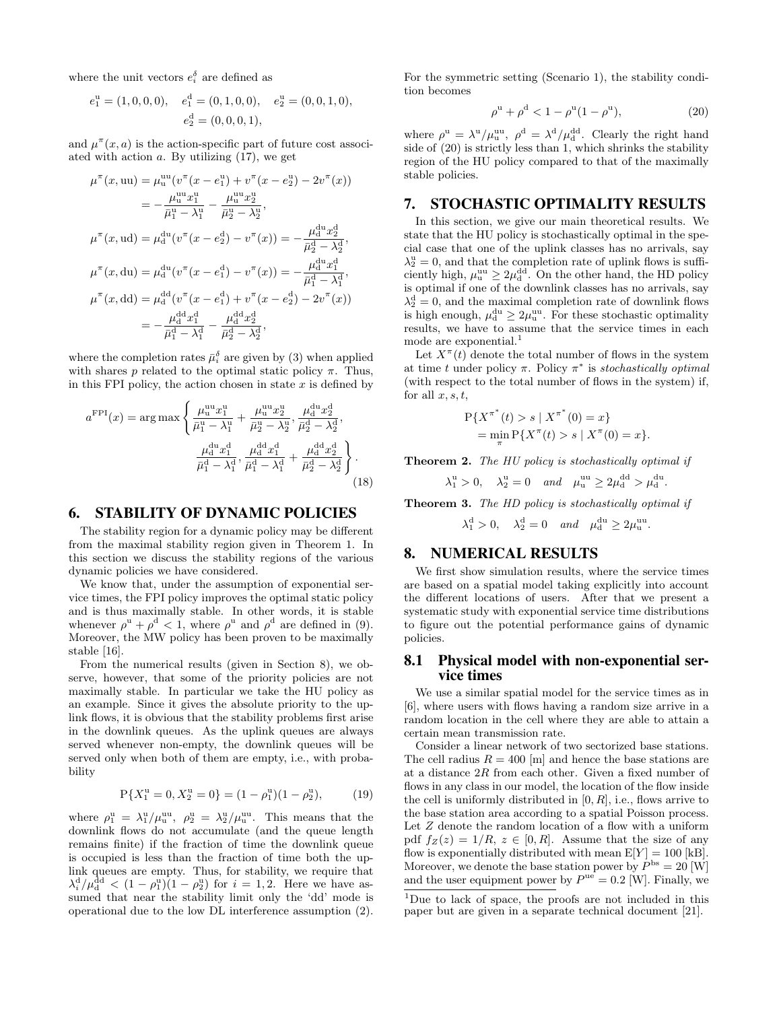where the unit vectors  $e_i^{\delta}$  are defined as

$$
e_1^u = (1,0,0,0), \quad e_1^d = (0,1,0,0), \quad e_2^u = (0,0,1,0),
$$
  

$$
e_2^d = (0,0,0,1),
$$

and  $\mu^{\pi}(x, a)$  is the action-specific part of future cost associated with action  $a$ . By utilizing  $(17)$ , we get

$$
\mu^{\pi}(x, uu) = \mu_{u}^{uu} (v^{\pi}(x - e_{1}^{u}) + v^{\pi}(x - e_{2}^{u}) - 2v^{\pi}(x))
$$
\n
$$
= -\frac{\mu_{u}^{uu} x_{1}^{u}}{\bar{\mu}_{1}^{u} - \lambda_{1}^{u}} - \frac{\mu_{u}^{uu} x_{2}^{u}}{\bar{\mu}_{2}^{u} - \lambda_{2}^{u}},
$$
\n
$$
\mu^{\pi}(x, ud) = \mu_{d}^{du} (v^{\pi}(x - e_{2}^{d}) - v^{\pi}(x)) = -\frac{\mu_{d}^{du} x_{2}^{d}}{\bar{\mu}_{2}^{d} - \lambda_{2}^{d}},
$$
\n
$$
\mu^{\pi}(x, du) = \mu_{d}^{du} (v^{\pi}(x - e_{1}^{d}) - v^{\pi}(x)) = -\frac{\mu_{d}^{du} x_{1}^{d}}{\bar{\mu}_{1}^{d} - \lambda_{1}^{d}},
$$
\n
$$
\mu^{\pi}(x, dd) = \mu_{d}^{dd} (v^{\pi}(x - e_{1}^{d}) + v^{\pi}(x - e_{2}^{d}) - 2v^{\pi}(x))
$$
\n
$$
= -\frac{\mu_{d}^{dd} x_{1}^{d}}{\bar{\mu}_{1}^{d} - \lambda_{1}^{d}} - \frac{\mu_{d}^{dd} x_{2}^{d}}{\bar{\mu}_{2}^{d} - \lambda_{2}^{d}},
$$

where the completion rates  $\bar{\mu}_i^{\delta}$  are given by (3) when applied with shares  $p$  related to the optimal static policy  $\pi$ . Thus, in this FPI policy, the action chosen in state  $x$  is defined by

$$
a^{\rm FPI}(x) = \arg \max \left\{ \frac{\mu_u^{\rm uu} x_1^{\rm u}}{\bar{\mu}_1^{\rm u} - \lambda_1^{\rm u}} + \frac{\mu_u^{\rm uu} x_2^{\rm u}}{\bar{\mu}_2^{\rm u} - \lambda_2^{\rm u}}, \frac{\mu_d^{\rm du} x_2^{\rm d}}{\bar{\mu}_2^{\rm d} - \lambda_2^{\rm d}}, \right. \\
\left. \frac{\mu_d^{\rm du} x_1^{\rm d}}{\bar{\mu}_1^{\rm d} - \lambda_1^{\rm d}}, \frac{\mu_d^{\rm dd} x_1^{\rm d}}{\bar{\mu}_1^{\rm d} - \lambda_1^{\rm d}} + \frac{\mu_d^{\rm dd} x_2^{\rm d}}{\bar{\mu}_2^{\rm d} - \lambda_2^{\rm d}} \right\}.
$$
\n(18)

## 6. STABILITY OF DYNAMIC POLICIES

The stability region for a dynamic policy may be different from the maximal stability region given in Theorem 1. In this section we discuss the stability regions of the various dynamic policies we have considered.

We know that, under the assumption of exponential service times, the FPI policy improves the optimal static policy and is thus maximally stable. In other words, it is stable whenever  $\rho^{\rm u} + \rho^{\rm d} < 1$ , where  $\rho^{\rm u}$  and  $\rho^{\rm d}$  are defined in (9). Moreover, the MW policy has been proven to be maximally stable [16].

From the numerical results (given in Section 8), we observe, however, that some of the priority policies are not maximally stable. In particular we take the HU policy as an example. Since it gives the absolute priority to the uplink flows, it is obvious that the stability problems first arise in the downlink queues. As the uplink queues are always served whenever non-empty, the downlink queues will be served only when both of them are empty, i.e., with probability

$$
P\{X_1^{\mathrm{u}} = 0, X_2^{\mathrm{u}} = 0\} = (1 - \rho_1^{\mathrm{u}})(1 - \rho_2^{\mathrm{u}}),\tag{19}
$$

where  $\rho_1^{\rm u} = \lambda_1^{\rm u}/\mu_{\rm u}^{\rm uu}, \ \rho_2^{\rm u} = \lambda_2^{\rm u}/\mu_{\rm u}^{\rm uu}.$  This means that the downlink flows do not accumulate (and the queue length remains finite) if the fraction of time the downlink queue is occupied is less than the fraction of time both the uplink queues are empty. Thus, for stability, we require that  $\lambda_i^d / \mu_d^{\text{dd}} < (1 - \rho_1^{\text{u}})(1 - \rho_2^{\text{u}})$  for  $i = 1, 2$ . Here we have assumed that near the stability limit only the 'dd' mode is operational due to the low DL interference assumption (2). For the symmetric setting (Scenario 1), the stability condition becomes

$$
\rho^{\rm u} + \rho^{\rm d} < 1 - \rho^{\rm u} (1 - \rho^{\rm u}),\tag{20}
$$

where  $\rho^{\rm u} = \lambda^{\rm u}/\mu_{\rm u}^{\rm uu}, \ \rho^{\rm d} = \lambda^{\rm d}/\mu_{\rm d}^{\rm dd}.$  Clearly the right hand side of (20) is strictly less than 1, which shrinks the stability region of the HU policy compared to that of the maximally stable policies.

## 7. STOCHASTIC OPTIMALITY RESULTS

In this section, we give our main theoretical results. We state that the HU policy is stochastically optimal in the special case that one of the uplink classes has no arrivals, say  $\lambda_2^{\mathrm{u}}=0$ , and that the completion rate of uplink flows is sufficiently high,  $\mu_u^{\text{uu}} \geq 2\mu_d^{\text{dd}}$ . On the other hand, the HD policy is optimal if one of the downlink classes has no arrivals, say  $\lambda_2^d = 0$ , and the maximal completion rate of downlink flows is high enough,  $\mu_d^{\text{du}} \geq 2\mu_u^{\text{uu}}$ . For these stochastic optimality results, we have to assume that the service times in each mode are exponential.<sup>1</sup>

Let  $X^{\pi}(t)$  denote the total number of flows in the system at time t under policy  $\pi$ . Policy  $\pi^*$  is stochastically optimal (with respect to the total number of flows in the system) if, for all  $x, s, t$ ,

$$
P{X^{\pi}}^*(t) > s | X^{\pi^*}(0) = x
$$
  
= min
$$
\min_{\pi} P{X^{\pi}(t) > s | X^{\pi}(0) = x}.
$$

Theorem 2. The HU policy is stochastically optimal if

 $\lambda_1^{\mathrm{u}} > 0$ ,  $\lambda_2^{\mathrm{u}} = 0$  and  $\mu_{\mathrm{u}}^{\mathrm{uu}} \geq 2\mu_{\mathrm{d}}^{\mathrm{dd}} > \mu_{\mathrm{d}}^{\mathrm{du}}$ .

Theorem 3. The HD policy is stochastically optimal if

 $\lambda_1^d > 0$ ,  $\lambda_2^d = 0$  and  $\mu_d^{du} \geq 2\mu_u^{uu}$ .

# 8. NUMERICAL RESULTS

We first show simulation results, where the service times are based on a spatial model taking explicitly into account the different locations of users. After that we present a systematic study with exponential service time distributions to figure out the potential performance gains of dynamic policies.

#### 8.1 Physical model with non-exponential service times

We use a similar spatial model for the service times as in [6], where users with flows having a random size arrive in a random location in the cell where they are able to attain a certain mean transmission rate.

Consider a linear network of two sectorized base stations. The cell radius  $R = 400$  [m] and hence the base stations are at a distance 2R from each other. Given a fixed number of flows in any class in our model, the location of the flow inside the cell is uniformly distributed in  $[0, R]$ , i.e., flows arrive to the base station area according to a spatial Poisson process. Let Z denote the random location of a flow with a uniform pdf  $f_Z(z) = 1/R$ ,  $z \in [0, R]$ . Assume that the size of any flow is exponentially distributed with mean  $E[Y] = 100$  [kB]. Moreover, we denote the base station power by  $P^{\text{bs}} = 20$  [W] and the user equipment power by  $P^{\text{ue}} = 0.2$  [W]. Finally, we

<sup>1</sup>Due to lack of space, the proofs are not included in this paper but are given in a separate technical document [21].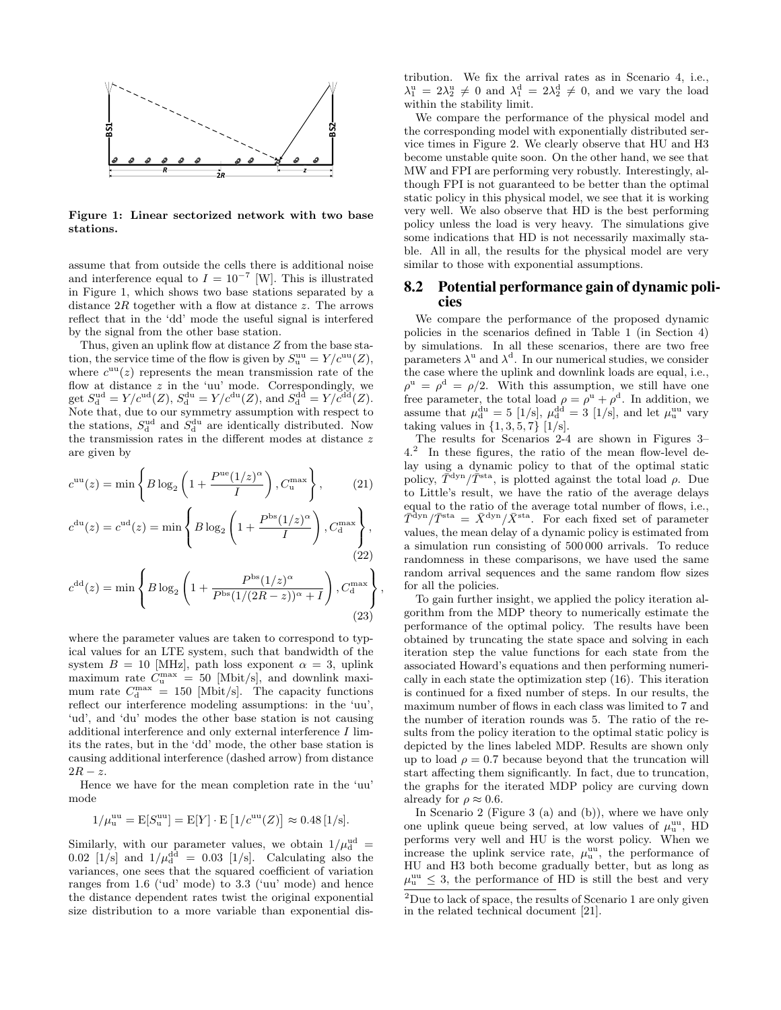

Figure 1: Linear sectorized network with two base stations.

assume that from outside the cells there is additional noise and interference equal to  $I = 10^{-7}$  [W]. This is illustrated in Figure 1, which shows two base stations separated by a distance  $2R$  together with a flow at distance z. The arrows reflect that in the 'dd' mode the useful signal is interfered by the signal from the other base station.

Thus, given an uplink flow at distance Z from the base station, the service time of the flow is given by  $S_u^{\text{uu}} = Y/c^{\text{uu}}(Z)$ , where  $c^{uu}(z)$  represents the mean transmission rate of the flow at distance  $z$  in the 'uu' mode. Correspondingly, we get  $S_d^{\text{ud}} = Y/c^{\text{ud}}(Z)$ ,  $S_d^{\text{du}} = Y/c^{\text{du}}(Z)$ , and  $S_d^{\text{dd}} = Y/c^{\text{dd}}(Z)$ . Note that, due to our symmetry assumption with respect to the stations,  $S_d^{\text{ud}}$  and  $S_d^{\text{du}}$  are identically distributed. Now the transmission rates in the different modes at distance z are given by

$$
cuu(z) = \min\left\{B\log_2\left(1 + \frac{P^{\text{ue}}(1/z)^{\alpha}}{I}\right), C_{\text{u}}^{\text{max}}\right\},\qquad(21)
$$

$$
cdu(z) = cud(z) = min \left\{ B \log_2 \left( 1 + \frac{P^{bs}(1/z)^{\alpha}}{I} \right), C_d^{max} \right\},\tag{22}
$$

$$
c^{\rm dd}(z) = \min\left\{ B \log_2\left(1 + \frac{P^{\rm bs}(1/z)^{\alpha}}{P^{\rm bs}(1/(2R-z))^{\alpha} + I}\right), C_{\rm d}^{\max}\right\}
$$
(23)

,

where the parameter values are taken to correspond to typical values for an LTE system, such that bandwidth of the system  $B = 10$  [MHz], path loss exponent  $\alpha = 3$ , uplink maximum rate  $C_{\rm u}^{\rm max} = 50$  [Mbit/s], and downlink maximum rate  $C_d^{\text{max}} = 150$  [Mbit/s]. The capacity functions reflect our interference modeling assumptions: in the 'uu', 'ud', and 'du' modes the other base station is not causing additional interference and only external interference I limits the rates, but in the 'dd' mode, the other base station is causing additional interference (dashed arrow) from distance  $2R - z$ .

Hence we have for the mean completion rate in the 'uu' mode

$$
1/\mu_{\rm u}^{\rm uu} = E[S_{\rm u}^{\rm uu}] = E[Y] \cdot E\left[1/c^{\rm uu}(Z)\right] \approx 0.48 \,[1/\rm s].
$$

Similarly, with our parameter values, we obtain  $1/\mu_d^{\text{ud}} =$ 0.02 [1/s] and  $1/\mu_{\rm d}^{\rm dd} = 0.03$  [1/s]. Calculating also the variances, one sees that the squared coefficient of variation ranges from 1.6 ('ud' mode) to 3.3 ('uu' mode) and hence the distance dependent rates twist the original exponential size distribution to a more variable than exponential distribution. We fix the arrival rates as in Scenario 4, i.e.,  $\lambda_1^{\rm u} = 2\lambda_2^{\rm u} \neq 0$  and  $\lambda_1^{\rm d} = 2\lambda_2^{\rm d} \neq 0$ , and we vary the load within the stability limit.

We compare the performance of the physical model and the corresponding model with exponentially distributed service times in Figure 2. We clearly observe that HU and H3 become unstable quite soon. On the other hand, we see that MW and FPI are performing very robustly. Interestingly, although FPI is not guaranteed to be better than the optimal static policy in this physical model, we see that it is working very well. We also observe that HD is the best performing policy unless the load is very heavy. The simulations give some indications that HD is not necessarily maximally stable. All in all, the results for the physical model are very similar to those with exponential assumptions.

#### 8.2 Potential performance gain of dynamic policies

We compare the performance of the proposed dynamic policies in the scenarios defined in Table 1 (in Section 4) by simulations. In all these scenarios, there are two free parameters  $\lambda^u$  and  $\lambda^d$ . In our numerical studies, we consider the case where the uplink and downlink loads are equal, i.e.,  $\rho^{\rm u} = \rho^{\rm d} = \rho/2$ . With this assumption, we still have one free parameter, the total load  $\rho = \rho^{\rm u} + \rho^{\rm d}$ . In addition, we assume that  $\mu_{\rm d}^{\rm du} = 5$  [1/s],  $\mu_{\rm d}^{\rm dd} = 3$  [1/s], and let  $\mu_{\rm u}^{\rm uu}$  vary taking values in  $\{1, 3, 5, 7\}$  [1/s].

The results for Scenarios 2-4 are shown in Figures 3– 4.<sup>2</sup> In these figures, the ratio of the mean flow-level delay using a dynamic policy to that of the optimal static policy,  $\bar{T}^{\text{dyn}}/\bar{T}^{\text{sta}}$ , is plotted against the total load  $\rho$ . Due to Little's result, we have the ratio of the average delays equal to the ratio of the average total number of flows, i.e.,  $\overline{T}^{\text{dyn}}/\overline{T}^{\text{sta}} = \overline{X}^{\text{dyn}}/\overline{X}^{\text{sta}}$ . For each fixed set of parameter values, the mean delay of a dynamic policy is estimated from a simulation run consisting of 500 000 arrivals. To reduce randomness in these comparisons, we have used the same random arrival sequences and the same random flow sizes for all the policies.

To gain further insight, we applied the policy iteration algorithm from the MDP theory to numerically estimate the performance of the optimal policy. The results have been obtained by truncating the state space and solving in each iteration step the value functions for each state from the associated Howard's equations and then performing numerically in each state the optimization step (16). This iteration is continued for a fixed number of steps. In our results, the maximum number of flows in each class was limited to 7 and the number of iteration rounds was 5. The ratio of the results from the policy iteration to the optimal static policy is depicted by the lines labeled MDP. Results are shown only up to load  $\rho = 0.7$  because beyond that the truncation will start affecting them significantly. In fact, due to truncation, the graphs for the iterated MDP policy are curving down already for  $\rho \approx 0.6$ .

In Scenario 2 (Figure 3 (a) and (b)), where we have only one uplink queue being served, at low values of  $\mu_u^{\text{uu}}$ , HD performs very well and HU is the worst policy. When we increase the uplink service rate,  $\mu_u^{uu}$ , the performance of HU and H3 both become gradually better, but as long as  $\mu_u^{uu} \leq 3$ , the performance of HD is still the best and very

<sup>2</sup>Due to lack of space, the results of Scenario 1 are only given in the related technical document [21].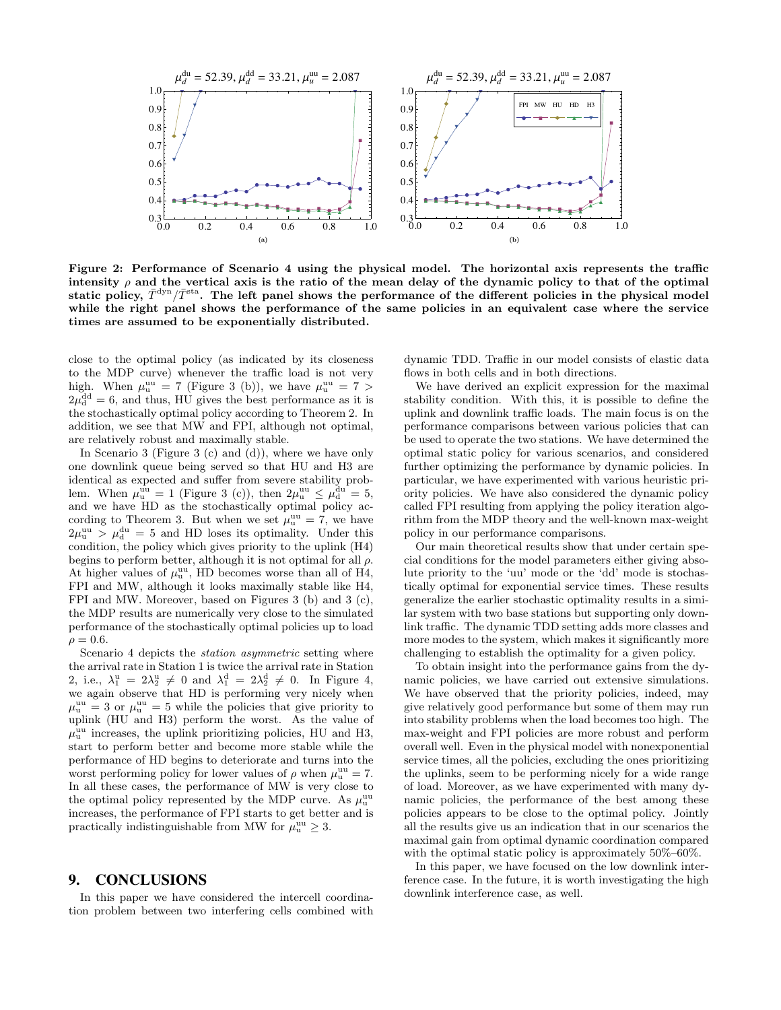

Figure 2: Performance of Scenario 4 using the physical model. The horizontal axis represents the traffic intensity  $\rho$  and the vertical axis is the ratio of the mean delay of the dynamic policy to that of the optimal static policy,  $\bar{T}^{\text{dyn}}/\bar{T}^{\text{sta}}$ . The left panel shows the performance of the different policies in the physical model while the right panel shows the performance of the same policies in an equivalent case where the service times are assumed to be exponentially distributed.

close to the optimal policy (as indicated by its closeness to the MDP curve) whenever the traffic load is not very high. When  $\mu_u^{uu} = 7$  (Figure 3 (b)), we have  $\mu_u^{uu} = 7 >$  $2\mu_{\rm d}^{\rm dd} = 6$ , and thus, HU gives the best performance as it is the stochastically optimal policy according to Theorem 2. In addition, we see that MW and FPI, although not optimal, are relatively robust and maximally stable.

In Scenario 3 (Figure 3 (c) and (d)), where we have only one downlink queue being served so that HU and H3 are identical as expected and suffer from severe stability problem. When  $\mu_u^{\text{uu}} = 1$  (Figure 3 (c)), then  $2\mu_u^{\text{uu}} \le \mu_d^{\text{du}} = 5$ , and we have HD as the stochastically optimal policy according to Theorem 3. But when we set  $\mu_u^{\text{uu}} = 7$ , we have  $2\mu_{\rm u}^{\rm uu} > \mu_{\rm d}^{\rm du} = 5$  and HD loses its optimality. Under this condition, the policy which gives priority to the uplink (H4) begins to perform better, although it is not optimal for all  $\rho$ . At higher values of  $\mu_u^{uu}$ , HD becomes worse than all of H4, FPI and MW, although it looks maximally stable like H4, FPI and MW. Moreover, based on Figures 3 (b) and 3 (c), the MDP results are numerically very close to the simulated performance of the stochastically optimal policies up to load  $\rho = 0.6$ .

Scenario 4 depicts the *station asymmetric* setting where the arrival rate in Station 1 is twice the arrival rate in Station 2, i.e.,  $\lambda_1^{\mathrm{u}} = 2\lambda_2^{\mathrm{u}} \neq 0$  and  $\lambda_1^{\mathrm{d}} = 2\lambda_2^{\mathrm{d}} \neq 0$ . In Figure 4, we again observe that HD is performing very nicely when  $\mu_{\rm u}^{\rm uu}=3$  or  $\mu_{\rm u}^{\rm uu}=5$  while the policies that give priority to uplink (HU and H3) perform the worst. As the value of  $\mu_u^{\text{uu}}$  increases, the uplink prioritizing policies, HU and H3, start to perform better and become more stable while the performance of HD begins to deteriorate and turns into the worst performing policy for lower values of  $\rho$  when  $\mu_u^{\text{uu}} = 7$ . In all these cases, the performance of MW is very close to the optimal policy represented by the MDP curve. As  $\mu_u^{\text{uu}}$ increases, the performance of FPI starts to get better and is practically indistinguishable from MW for  $\mu_u^{\text{uu}} \geq 3$ .

#### 9. CONCLUSIONS

In this paper we have considered the intercell coordination problem between two interfering cells combined with dynamic TDD. Traffic in our model consists of elastic data flows in both cells and in both directions.

We have derived an explicit expression for the maximal stability condition. With this, it is possible to define the uplink and downlink traffic loads. The main focus is on the performance comparisons between various policies that can be used to operate the two stations. We have determined the optimal static policy for various scenarios, and considered further optimizing the performance by dynamic policies. In particular, we have experimented with various heuristic priority policies. We have also considered the dynamic policy called FPI resulting from applying the policy iteration algorithm from the MDP theory and the well-known max-weight policy in our performance comparisons.

Our main theoretical results show that under certain special conditions for the model parameters either giving absolute priority to the 'uu' mode or the 'dd' mode is stochastically optimal for exponential service times. These results generalize the earlier stochastic optimality results in a similar system with two base stations but supporting only downlink traffic. The dynamic TDD setting adds more classes and more modes to the system, which makes it significantly more challenging to establish the optimality for a given policy.

To obtain insight into the performance gains from the dynamic policies, we have carried out extensive simulations. We have observed that the priority policies, indeed, may give relatively good performance but some of them may run into stability problems when the load becomes too high. The max-weight and FPI policies are more robust and perform overall well. Even in the physical model with nonexponential service times, all the policies, excluding the ones prioritizing the uplinks, seem to be performing nicely for a wide range of load. Moreover, as we have experimented with many dynamic policies, the performance of the best among these policies appears to be close to the optimal policy. Jointly all the results give us an indication that in our scenarios the maximal gain from optimal dynamic coordination compared with the optimal static policy is approximately 50%–60%.

In this paper, we have focused on the low downlink interference case. In the future, it is worth investigating the high downlink interference case, as well.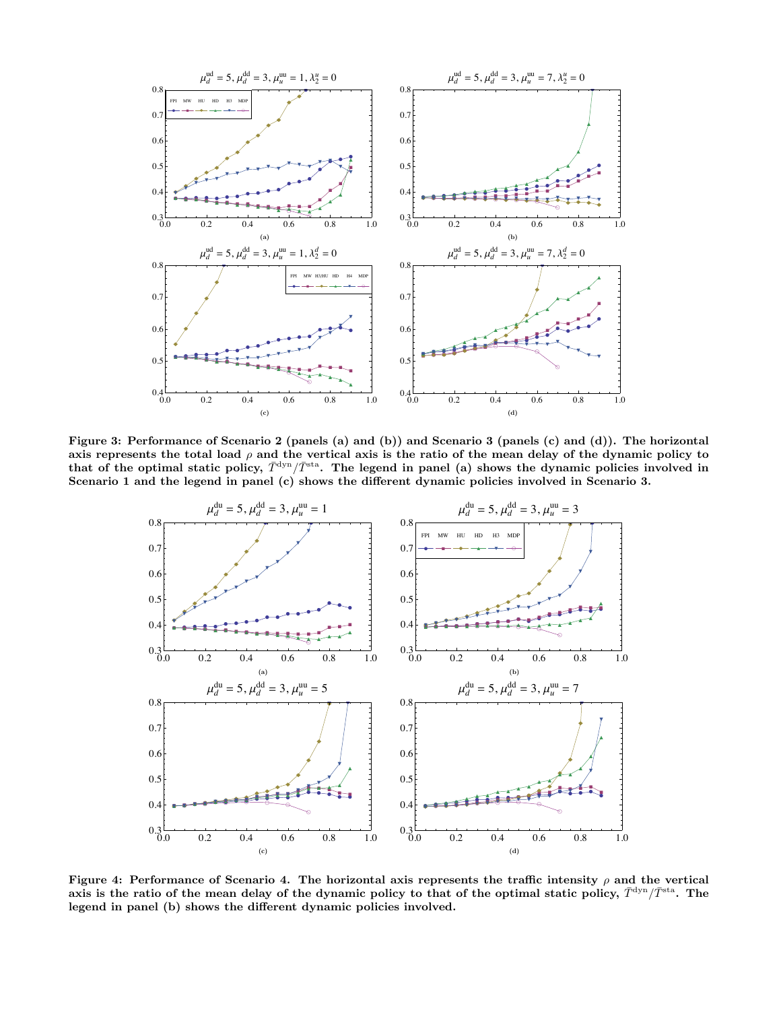

Figure 3: Performance of Scenario 2 (panels (a) and (b)) and Scenario 3 (panels (c) and (d)). The horizontal axis represents the total load  $\rho$  and the vertical axis is the ratio of the mean delay of the dynamic policy to that of the optimal static policy,  $\bar{T}^{\text{dyn}}/\bar{T}^{\text{sta}}$ . The legend in panel (a) shows the dynamic policies involved in Scenario 1 and the legend in panel (c) shows the different dynamic policies involved in Scenario 3.



Figure 4: Performance of Scenario 4. The horizontal axis represents the traffic intensity  $\rho$  and the vertical axis is the ratio of the mean delay of the dynamic policy to that of the optimal static policy,  $\bar{T}^{dyn}/\bar{T}^{sta}$ . The legend in panel (b) shows the different dynamic policies involved.